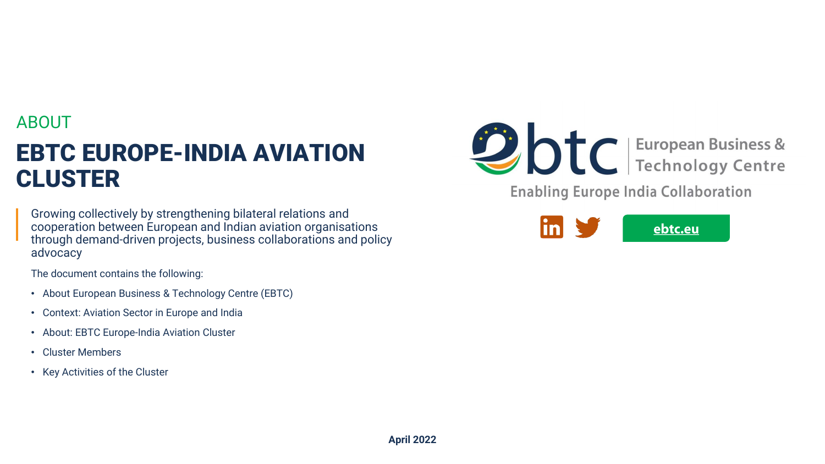## ABOUT

# EBTC EUROPE-INDIA AVIATION CLUSTER

Growing collectively by strengthening bilateral relations and cooperation between European and Indian aviation organisations through demand-driven projects, business collaborations and policy advocacy

The document contains the following:

- About European Business & Technology Centre (EBTC)
- Context: Aviation Sector in Europe and India
- About: EBTC Europe-India Aviation Cluster
- Cluster Members
- Key Activities of the Cluster



**Enabling Europe India Collaboration** 

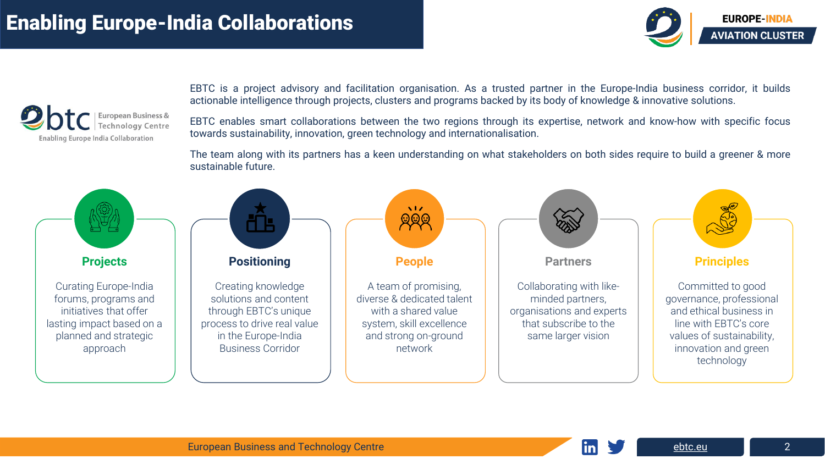

EBTC is a project advisory and facilitation organisation. As a trusted partner in the Europe-India business corridor, it builds actionable intelligence through projects, clusters and programs backed by its body of knowledge & innovative solutions.

EBTC enables smart collaborations between the two regions through its expertise, network and know-how with specific focus towards sustainability, innovation, green technology and internationalisation.

The team along with its partners has a keen understanding on what stakeholders on both sides require to build a greener & more sustainable future.



**EUROPE-INDIA AVIATION CLUSTER**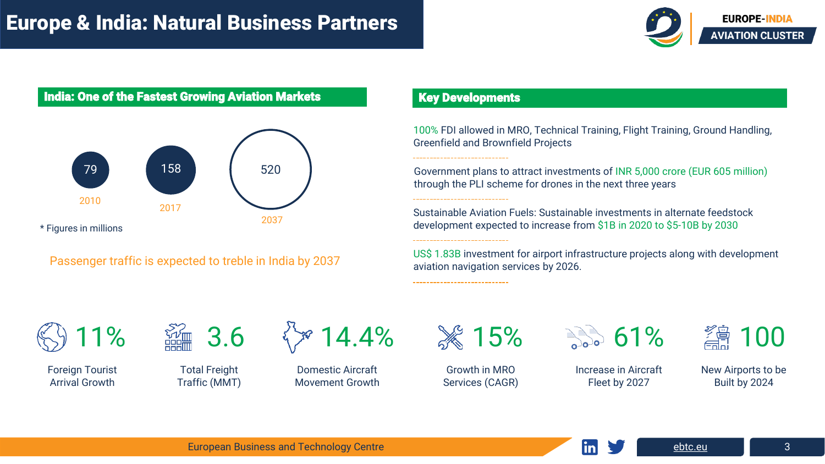## Europe & India: Natural Business Partners



### India: One of the Fastest Growing Aviation Markets



Passenger traffic is expected to treble in India by 2037

### Key Developments

-----------------------------

------------------------------

------------------------------

100% FDI allowed in MRO, Technical Training, Flight Training, Ground Handling, Greenfield and Brownfield Projects

Government plans to attract investments of INR 5,000 crore (EUR 605 million) through the PLI scheme for drones in the next three years

Sustainable Aviation Fuels: Sustainable investments in alternate feedstock development expected to increase from \$1B in 2020 to \$5-10B by 2030

US\$ 1.83B investment for airport infrastructure projects along with development aviation navigation services by 2026.



Foreign Tourist Arrival Growth



Total Freight Traffic (MMT)

14.4%

Domestic Aircraft Movement Growth



Growth in MRO Services (CAGR)

**1% 61%** 

Increase in Aircraft Fleet by 2027



New Airports to be Built by 2024

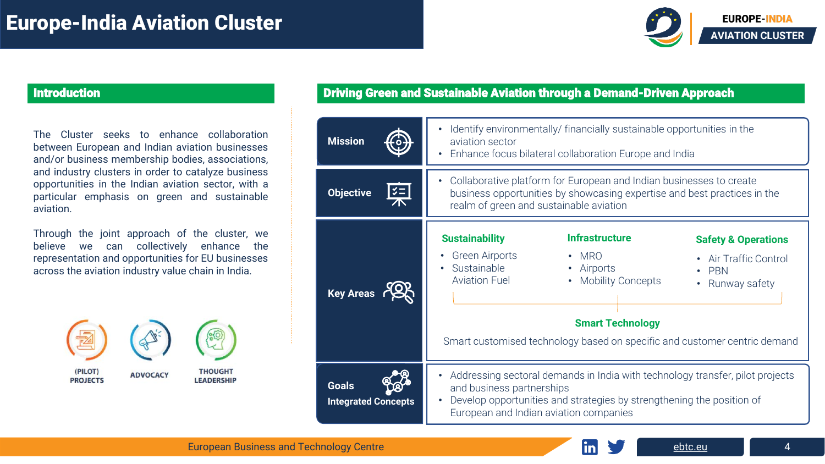

The Cluster seeks to enhance collaboration between European and Indian aviation businesses and/or business membership bodies, associations, and industry clusters in order to catalyze business opportunities in the Indian aviation sector, with a particular emphasis on green and sustainable aviation.

Through the joint approach of the cluster, we believe we can collectively enhance the representation and opportunities for EU businesses across the aviation industry value chain in India.



### Introduction Driving Green and Sustainable Aviation through a Demand-Driven Approach

| <b>Mission</b>                             | Identify environmentally/ financially sustainable opportunities in the<br>aviation sector<br>Enhance focus bilateral collaboration Europe and India                                                                                                                                                                                                                                                 |
|--------------------------------------------|-----------------------------------------------------------------------------------------------------------------------------------------------------------------------------------------------------------------------------------------------------------------------------------------------------------------------------------------------------------------------------------------------------|
| <b>Objective</b>                           | Collaborative platform for European and Indian businesses to create<br>$\bullet$<br>business opportunities by showcasing expertise and best practices in the<br>realm of green and sustainable aviation                                                                                                                                                                                             |
| <b>Key Areas</b>                           | <b>Infrastructure</b><br><b>Sustainability</b><br><b>Safety &amp; Operations</b><br><b>Green Airports</b><br><b>MRO</b><br>$\bullet$<br>• Air Traffic Control<br>Sustainable<br>Airports<br>$\bullet$<br>$\cdot$ PBN<br><b>Aviation Fuel</b><br><b>Mobility Concepts</b><br>• Runway safety<br><b>Smart Technology</b><br>Smart customised technology based on specific and customer centric demand |
| <b>Goals</b><br><b>Integrated Concepts</b> | Addressing sectoral demands in India with technology transfer, pilot projects<br>$\bullet$<br>and business partnerships<br>Develop opportunities and strategies by strengthening the position of<br>European and Indian aviation companies                                                                                                                                                          |

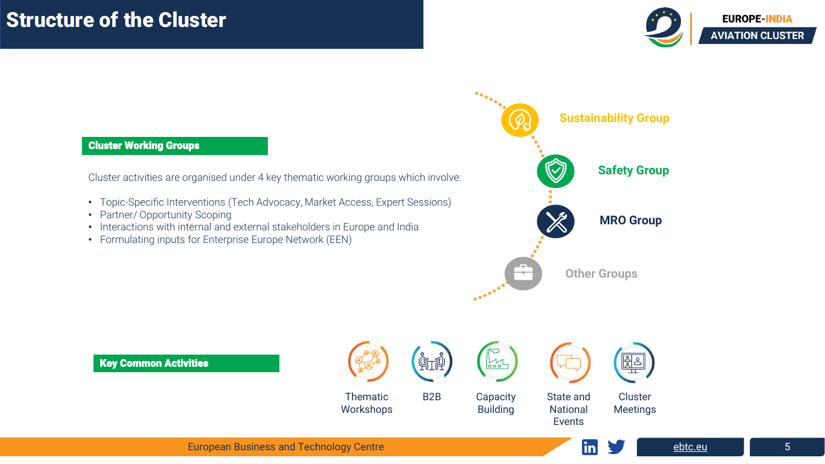

### Cluster Working Groups

Cluster activities are organised under 4 key thematic working groups which involve:

- Topic-Specific Interventions (Tech Advocacy, Market Access, Expert Sessions)
- Partner/ Opportunity Scoping
- Interactions with internal and external stakeholders in Europe and India
- Formulating inputs for Enterprise Europe Network (EEN)



Key Common Activities





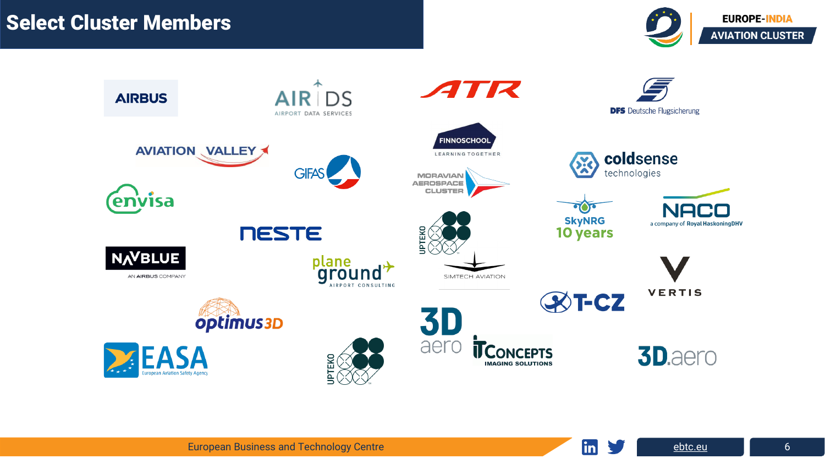

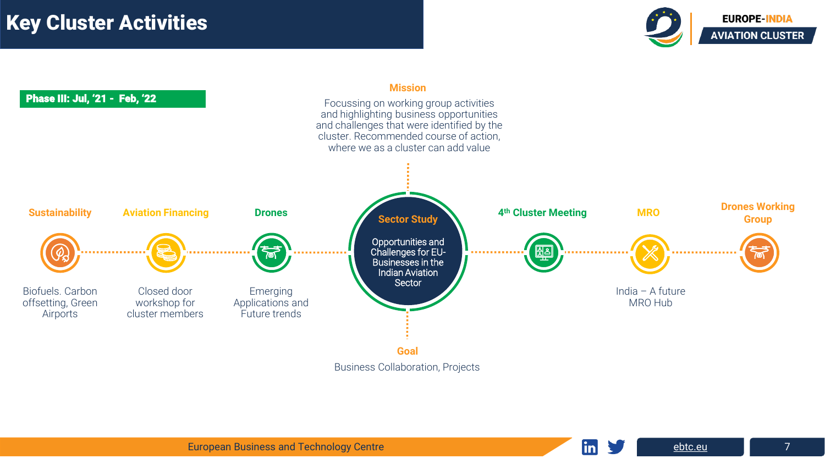